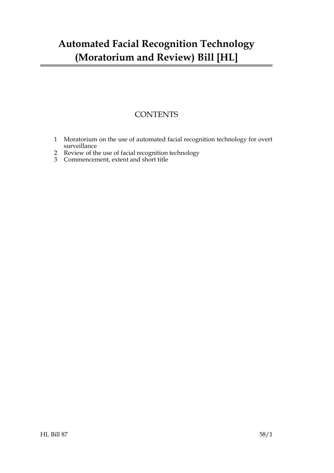### **CONTENTS**

- [1 Moratorium on the use of automated facial recognition technology for overt](#page-2-0) surveillance
- [2 Review of the use of facial recognition technology](#page-3-0)
- 3 [Commencement, extent and short title](#page-3-1)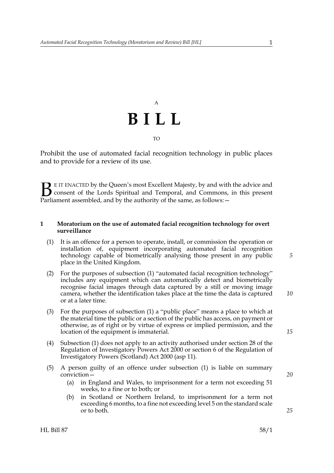## A **BILL** TO

Prohibit the use of automated facial recognition technology in public places and to provide for a review of its use.

E IT ENACTED by the Queen's most Excellent Majesty, by and with the advice and consent of the Lords Spiritual and Temporal, and Commons, in this present **B** E IT ENACTED by the Queen's most Excellent Majesty, by and with consent of the Lords Spiritual and Temporal, and Commons, Parliament assembled, and by the authority of the same, as follows:  $-$ 

#### <span id="page-2-0"></span>**1 Moratorium on the use of automated facial recognition technology for overt surveillance**

- <span id="page-2-1"></span>(1) It is an offence for a person to operate, install, or commission the operation or installation of, equipment incorporating automated facial recognition technology capable of biometrically analysing those present in any public place in the United Kingdom.
- (2) For the purposes of subsection [\(1\)](#page-2-1) "automated facial recognition technology" includes any equipment which can automatically detect and biometrically recognise facial images through data captured by a still or moving image camera, whether the identification takes place at the time the data is captured or at a later time.
- (3) For the purposes of subsection [\(1\)](#page-2-1) a "public place" means a place to which at the material time the public or a section of the public has access, on payment or otherwise, as of right or by virtue of express or implied permission, and the location of the equipment is immaterial.
- (4) Subsection [\(1\)](#page-2-1) does not apply to an activity authorised under section 28 of the Regulation of Investigatory Powers Act 2000 or section 6 of the Regulation of Investigatory Powers (Scotland) Act 2000 (asp 11).
- <span id="page-2-2"></span>(5) A person guilty of an offence under subsection [\(1\)](#page-2-1) is liable on summary conviction—
	- (a) in England and Wales, to imprisonment for a term not exceeding 51 weeks, to a fine or to both; or
	- (b) in Scotland or Northern Ireland, to imprisonment for a term not exceeding 6 months, to a fine not exceeding level 5 on the standard scale or to both.

*25*

*20*

*5*

*15*

*10*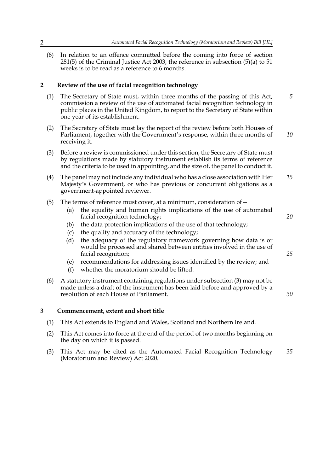(6) In relation to an offence committed before the coming into force of section 281(5) of the Criminal Justice Act 2003, the reference in subsection [\(5\)\(a\)](#page-2-2) to 51 weeks is to be read as a reference to 6 months.

#### <span id="page-3-0"></span>**2 Review of the use of facial recognition technology**

- (1) The Secretary of State must, within three months of the passing of this Act, commission a review of the use of automated facial recognition technology in public places in the United Kingdom, to report to the Secretary of State within one year of its establishment. *5*
- (2) The Secretary of State must lay the report of the review before both Houses of Parliament, together with the Government's response, within three months of receiving it. *10*
- <span id="page-3-2"></span>(3) Before a review is commissioned under this section, the Secretary of State must by regulations made by statutory instrument establish its terms of reference and the criteria to be used in appointing, and the size of, the panel to conduct it.
- (4) The panel may not include any individual who has a close association with Her Majesty's Government, or who has previous or concurrent obligations as a government-appointed reviewer. *15*
- (5) The terms of reference must cover, at a minimum, consideration of  $-$ 
	- (a) the equality and human rights implications of the use of automated facial recognition technology;

*20*

*25*

*30*

- (b) the data protection implications of the use of that technology;
- (c) the quality and accuracy of the technology;
- (d) the adequacy of the regulatory framework governing how data is or would be processed and shared between entities involved in the use of facial recognition;
- (e) recommendations for addressing issues identified by the review; and
- (f) whether the moratorium should be lifted.
- (6) A statutory instrument containing regulations under subsection [\(3\)](#page-3-2) may not be made unless a draft of the instrument has been laid before and approved by a resolution of each House of Parliament.

#### <span id="page-3-1"></span>**3 Commencement, extent and short title**

- (1) This Act extends to England and Wales, Scotland and Northern Ireland.
- (2) This Act comes into force at the end of the period of two months beginning on the day on which it is passed.
- (3) This Act may be cited as the Automated Facial Recognition Technology (Moratorium and Review) Act 2020. *35*